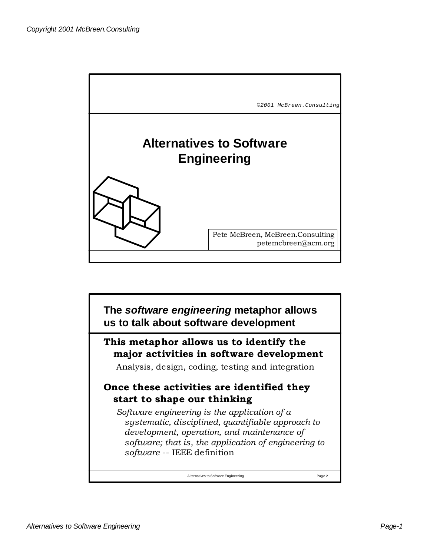

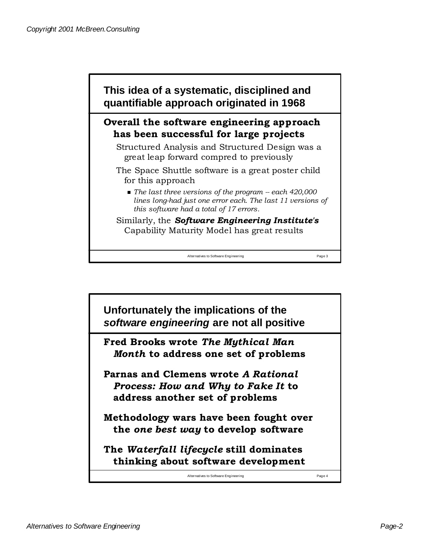

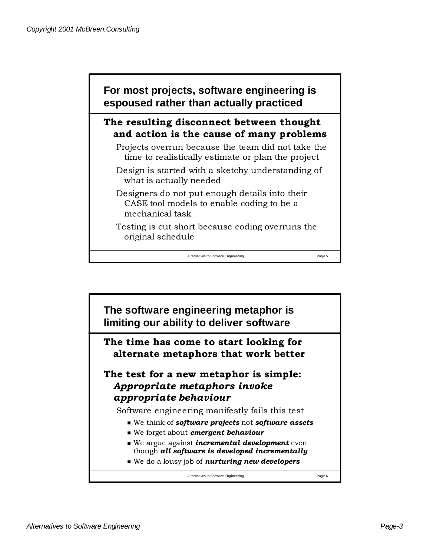

## **The resulting disconnect between thought and action is the cause of many problems**

Projects overrun because the team did not take the time to realistically estimate or plan the project

Design is started with a sketchy understanding of what is actually needed

Designers do not put enough details into their CASE tool models to enable coding to be a mechanical task

Testing is cut short because coding overruns the original schedule

Alternatives to Software Engineering Page 5

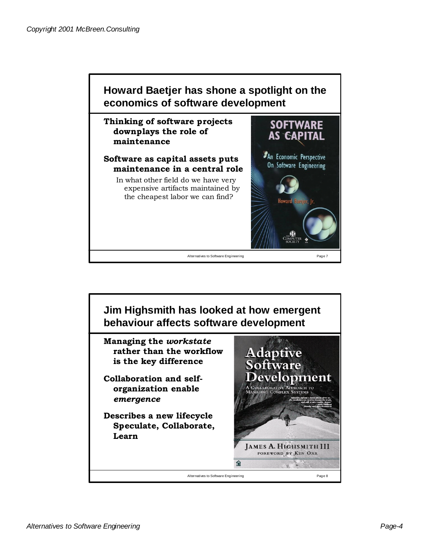

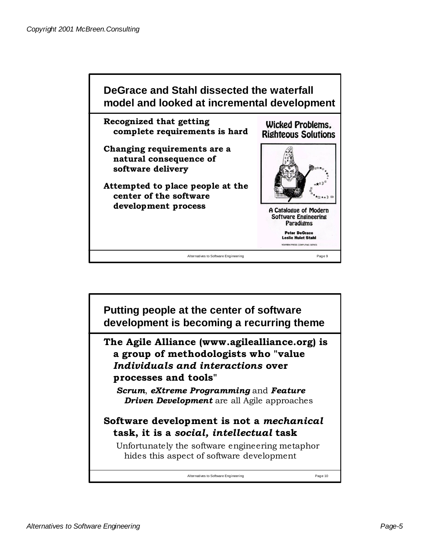

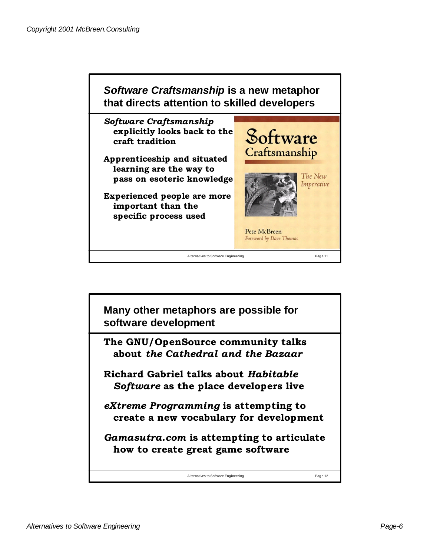